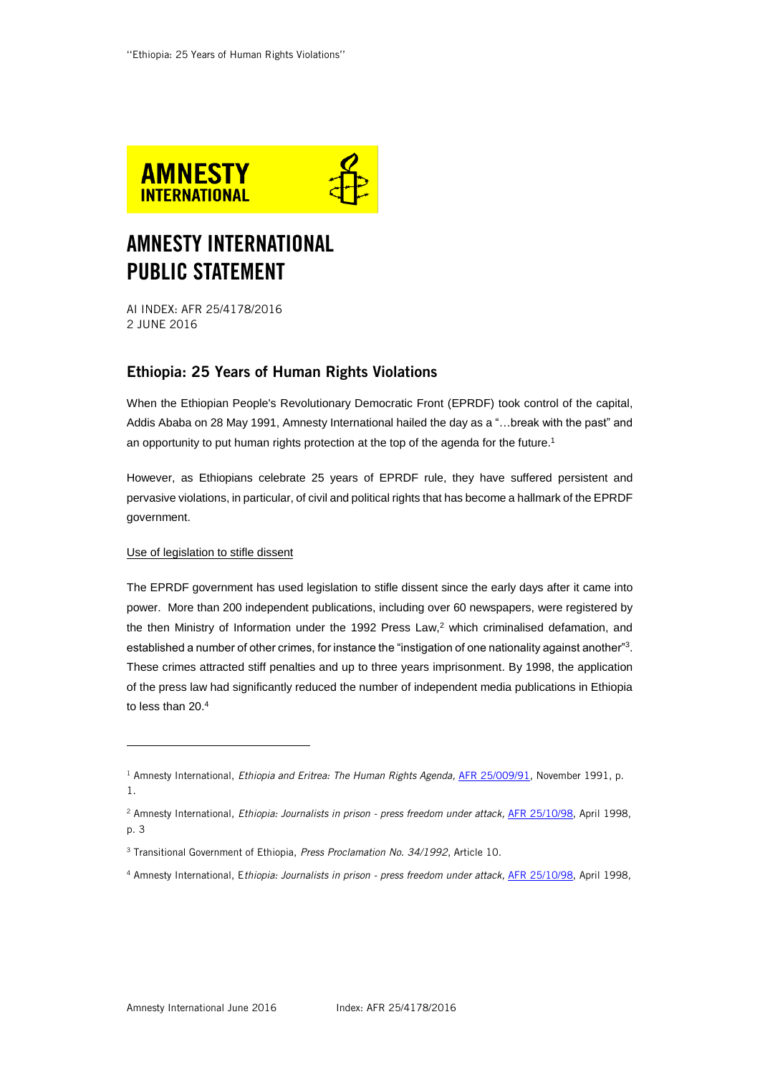

# AMNESTY INTERNATIONAL PUBLIC STATEMENT

AI INDEX: AFR 25/4178/2016 2 JUNE 2016

## Ethiopia: 25 Years of Human Rights Violations

When the Ethiopian People's Revolutionary Democratic Front (EPRDF) took control of the capital, Addis Ababa on 28 May 1991, Amnesty International hailed the day as a "…break with the past" and an opportunity to put human rights protection at the top of the agenda for the future.<sup>1</sup>

However, as Ethiopians celebrate 25 years of EPRDF rule, they have suffered persistent and pervasive violations, in particular, of civil and political rights that has become a hallmark of the EPRDF government.

### Use of legislation to stifle dissent

j

The EPRDF government has used legislation to stifle dissent since the early days after it came into power. More than 200 independent publications, including over 60 newspapers, were registered by the then Ministry of Information under the 1992 Press Law,<sup>2</sup> which criminalised defamation, and established a number of other crimes, for instance the "instigation of one nationality against another"<sup>3</sup>. These crimes attracted stiff penalties and up to three years imprisonment. By 1998, the application of the press law had significantly reduced the number of independent media publications in Ethiopia to less than 20. 4

<sup>&</sup>lt;sup>1</sup> Amnesty International, *Ethiopia and Eritrea: The Human Rights Agenda*, **AFR 25/009/91**, November 1991, p. 1.

<sup>2</sup> Amnesty International, *Ethiopia: Journalists in prison - press freedom under attack,* [AFR 25/10/98,](https://www.amnesty.org/en/documents/afr25/010/1998/en/) April 1998, p. 3

<sup>3</sup> Transitional Government of Ethiopia, *Press Proclamation No. 34/1992*, Article 10.

<sup>4</sup> Amnesty International, E*thiopia: Journalists in prison - press freedom under attack,* [AFR 25/10/98,](https://www.amnesty.org/en/documents/afr25/010/1998/en/) April 1998,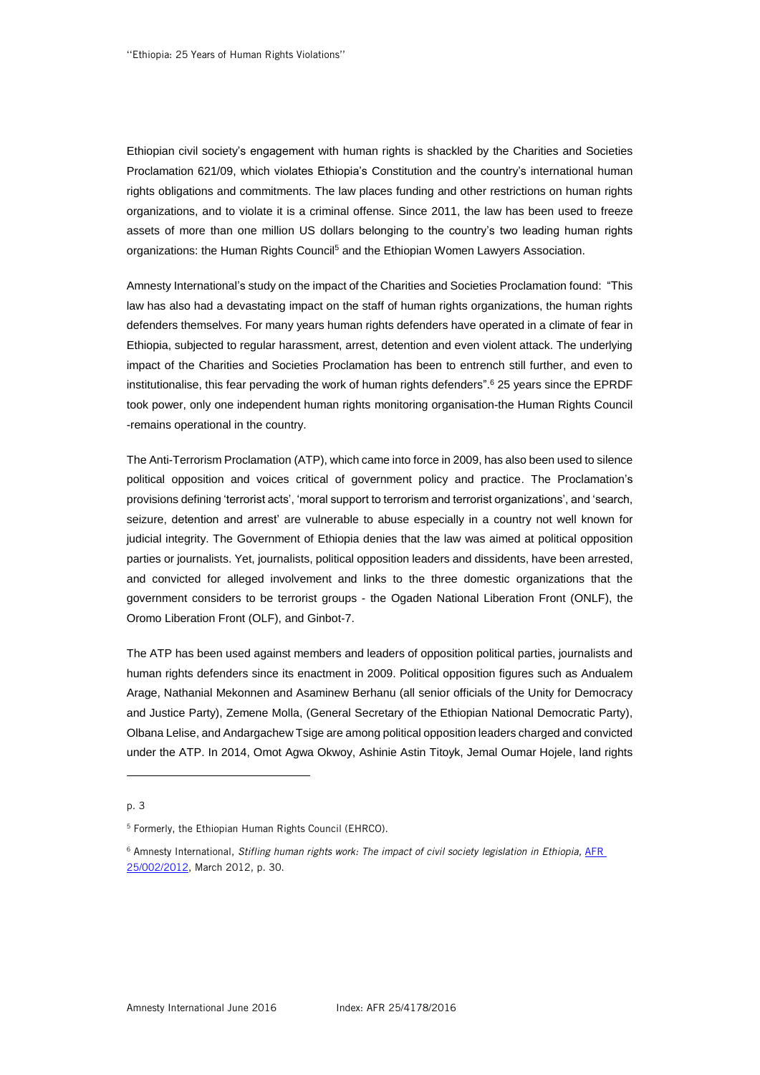''Ethiopia: 25 Years of Human Rights Violations''

Ethiopian civil society's engagement with human rights is shackled by the Charities and Societies Proclamation 621/09, which violates Ethiopia's Constitution and the country's international human rights obligations and commitments. The law places funding and other restrictions on human rights organizations, and to violate it is a criminal offense. Since 2011, the law has been used to freeze assets of more than one million US dollars belonging to the country's two leading human rights organizations: the Human Rights Council<sup>5</sup> and the Ethiopian Women Lawyers Association.

Amnesty International's study on the impact of the Charities and Societies Proclamation found: "This law has also had a devastating impact on the staff of human rights organizations, the human rights defenders themselves. For many years human rights defenders have operated in a climate of fear in Ethiopia, subjected to regular harassment, arrest, detention and even violent attack. The underlying impact of the Charities and Societies Proclamation has been to entrench still further, and even to institutionalise, this fear pervading the work of human rights defenders". <sup>6</sup> 25 years since the EPRDF took power, only one independent human rights monitoring organisation-the Human Rights Council -remains operational in the country.

The Anti-Terrorism Proclamation (ATP), which came into force in 2009, has also been used to silence political opposition and voices critical of government policy and practice. The Proclamation's provisions defining 'terrorist acts', 'moral support to terrorism and terrorist organizations', and 'search, seizure, detention and arrest' are vulnerable to abuse especially in a country not well known for judicial integrity. The Government of Ethiopia denies that the law was aimed at political opposition parties or journalists. Yet, journalists, political opposition leaders and dissidents, have been arrested, and convicted for alleged involvement and links to the three domestic organizations that the government considers to be terrorist groups - the Ogaden National Liberation Front (ONLF), the Oromo Liberation Front (OLF), and Ginbot-7.

The ATP has been used against members and leaders of opposition political parties, journalists and human rights defenders since its enactment in 2009. Political opposition figures such as Andualem Arage, Nathanial Mekonnen and Asaminew Berhanu (all senior officials of the Unity for Democracy and Justice Party), Zemene Molla, (General Secretary of the Ethiopian National Democratic Party), Olbana Lelise, and Andargachew Tsige are among political opposition leaders charged and convicted under the ATP. In 2014, Omot Agwa Okwoy, Ashinie Astin Titoyk, Jemal Oumar Hojele, land rights

p. 3

ł

<sup>5</sup> Formerly, the Ethiopian Human Rights Council (EHRCO).

<sup>&</sup>lt;sup>6</sup> Amnesty International, *Stifling human rights work: The impact of civil society legislation in Ethiopia, AFR* [25/002/2012,](https://www.amnesty.org/en/documents/afr25/002/2012/en/) March 2012, p. 30.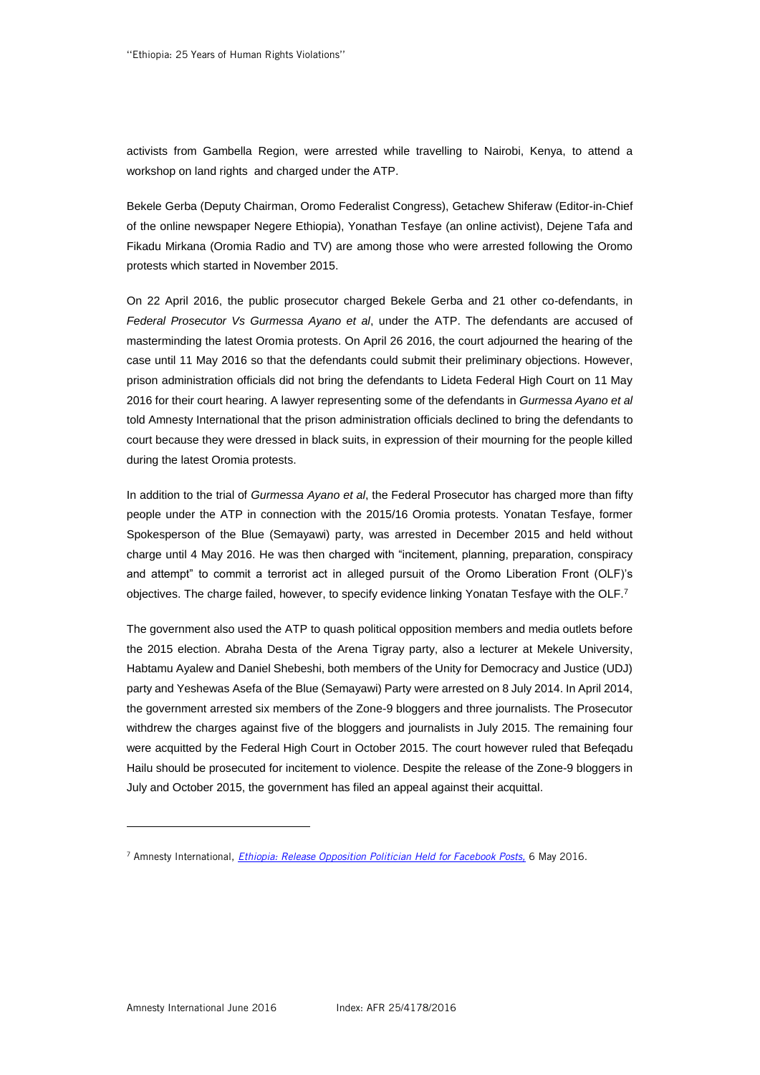activists from Gambella Region, were arrested while travelling to Nairobi, Kenya, to attend a workshop on land rights and charged under the ATP.

Bekele Gerba (Deputy Chairman, Oromo Federalist Congress), Getachew Shiferaw (Editor-in-Chief of the online newspaper Negere Ethiopia), Yonathan Tesfaye (an online activist), Dejene Tafa and Fikadu Mirkana (Oromia Radio and TV) are among those who were arrested following the Oromo protests which started in November 2015.

On 22 April 2016, the public prosecutor charged Bekele Gerba and 21 other co-defendants, in *Federal Prosecutor Vs Gurmessa Ayano et al*, under the ATP. The defendants are accused of masterminding the latest Oromia protests. On April 26 2016, the court adjourned the hearing of the case until 11 May 2016 so that the defendants could submit their preliminary objections. However, prison administration officials did not bring the defendants to Lideta Federal High Court on 11 May 2016 for their court hearing. A lawyer representing some of the defendants in *Gurmessa Ayano et al* told Amnesty International that the prison administration officials declined to bring the defendants to court because they were dressed in black suits, in expression of their mourning for the people killed during the latest Oromia protests.

In addition to the trial of *Gurmessa Ayano et al*, the Federal Prosecutor has charged more than fifty people under the ATP in connection with the 2015/16 Oromia protests. Yonatan Tesfaye, former Spokesperson of the Blue (Semayawi) party, was arrested in December 2015 and held without charge until 4 May 2016. He was then charged with "incitement, planning, preparation, conspiracy and attempt" to commit a terrorist act in alleged pursuit of the Oromo Liberation Front (OLF)'s objectives. The charge failed, however, to specify evidence linking Yonatan Tesfaye with the OLF.<sup>7</sup>

The government also used the ATP to quash political opposition members and media outlets before the 2015 election. Abraha Desta of the Arena Tigray party, also a lecturer at Mekele University, Habtamu Ayalew and Daniel Shebeshi, both members of the Unity for Democracy and Justice (UDJ) party and Yeshewas Asefa of the Blue (Semayawi) Party were arrested on 8 July 2014. In April 2014, the government arrested six members of the Zone-9 bloggers and three journalists. The Prosecutor withdrew the charges against five of the bloggers and journalists in July 2015. The remaining four were acquitted by the Federal High Court in October 2015. The court however ruled that Befeqadu Hailu should be prosecuted for incitement to violence. Despite the release of the Zone-9 bloggers in July and October 2015, the government has filed an appeal against their acquittal.

ł

<sup>7</sup> Amnesty International, *[Ethiopia: Release Opposition Politician Held for Facebook Posts,](https://www.amnesty.org/en/latest/news/2016/05/ethiopia-release-opposition-politician-held-for-facebook-posts/)* 6 May 2016.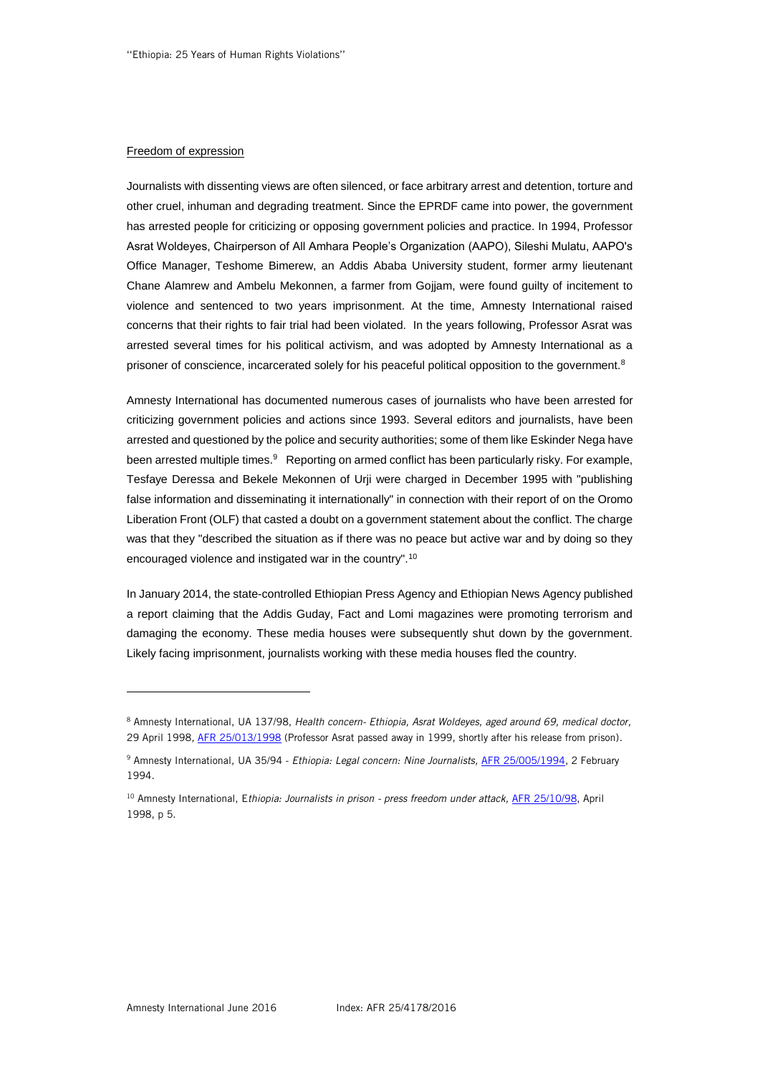#### Freedom of expression

Journalists with dissenting views are often silenced, or face arbitrary arrest and detention, torture and other cruel, inhuman and degrading treatment. Since the EPRDF came into power, the government has arrested people for criticizing or opposing government policies and practice. In 1994, Professor Asrat Woldeyes, Chairperson of All Amhara People's Organization (AAPO), Sileshi Mulatu, AAPO's Office Manager, Teshome Bimerew, an Addis Ababa University student, former army lieutenant Chane Alamrew and Ambelu Mekonnen, a farmer from Gojjam, were found guilty of incitement to violence and sentenced to two years imprisonment. At the time, Amnesty International raised concerns that their rights to fair trial had been violated. In the years following, Professor Asrat was arrested several times for his political activism, and was adopted by Amnesty International as a prisoner of conscience, incarcerated solely for his peaceful political opposition to the government.<sup>8</sup>

Amnesty International has documented numerous cases of journalists who have been arrested for criticizing government policies and actions since 1993. Several editors and journalists, have been arrested and questioned by the police and security authorities; some of them like Eskinder Nega have been arrested multiple times.<sup>9</sup> Reporting on armed conflict has been particularly risky. For example, Tesfaye Deressa and Bekele Mekonnen of Urji were charged in December 1995 with "publishing false information and disseminating it internationally" in connection with their report of on the Oromo Liberation Front (OLF) that casted a doubt on a government statement about the conflict. The charge was that they "described the situation as if there was no peace but active war and by doing so they encouraged violence and instigated war in the country".<sup>10</sup>

In January 2014, the state-controlled Ethiopian Press Agency and Ethiopian News Agency published a report claiming that the Addis Guday, Fact and Lomi magazines were promoting terrorism and damaging the economy. These media houses were subsequently shut down by the government. Likely facing imprisonment, journalists working with these media houses fled the country.

j

<sup>8</sup> Amnesty International, UA 137/98, *Health concern- Ethiopia, Asrat Woldeyes, aged around 69, medical doctor,*  29 April 1998*,* [AFR 25/013/1998](https://www.amnesty.org/en/documents/afr25/013/1998/en/) (Professor Asrat passed away in 1999, shortly after his release from prison).

<sup>9</sup> Amnesty International, UA 35/94 - *Ethiopia: Legal concern: Nine Journalists,* [AFR 25/005/1994,](https://www.amnesty.org/en/documents/afr25/005/1994/en/) 2 February 1994.

<sup>10</sup> Amnesty International, E*thiopia: Journalists in prison - press freedom under attack,* [AFR 25/10/98,](https://www.amnesty.org/en/documents/afr25/010/1998/en/) April 1998, p 5.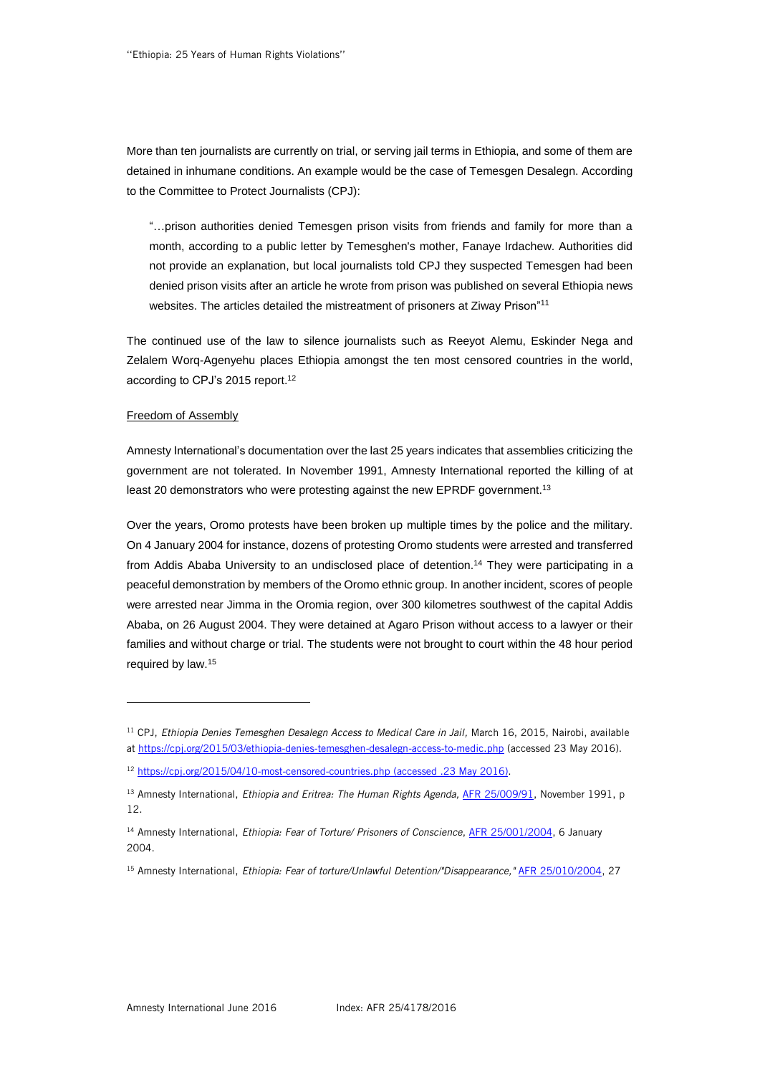More than ten journalists are currently on trial, or serving jail terms in Ethiopia, and some of them are detained in inhumane conditions. An example would be the case of Temesgen Desalegn. According to the Committee to Protect Journalists (CPJ):

"…prison authorities denied Temesgen prison visits from friends and family for more than a month, according to a public letter by Temesghen's mother, Fanaye Irdachew. Authorities did not provide an explanation, but local journalists told CPJ they suspected Temesgen had been denied prison visits after an article he wrote from prison was published on several Ethiopia news websites. The articles detailed the mistreatment of prisoners at Ziway Prison"<sup>11</sup>

The continued use of the law to silence journalists such as Reeyot Alemu, Eskinder Nega and Zelalem Worq-Agenyehu places Ethiopia amongst the ten most censored countries in the world, according to CPJ's 2015 report.<sup>12</sup>

#### Freedom of Assembly

j

Amnesty International's documentation over the last 25 years indicates that assemblies criticizing the government are not tolerated. In November 1991, Amnesty International reported the killing of at least 20 demonstrators who were protesting against the new EPRDF government.<sup>13</sup>

Over the years, Oromo protests have been broken up multiple times by the police and the military. On 4 January 2004 for instance, dozens of protesting Oromo students were arrested and transferred from Addis Ababa University to an undisclosed place of detention. <sup>14</sup> They were participating in a peaceful demonstration by members of the Oromo ethnic group. In another incident, scores of people were arrested near Jimma in the Oromia region, over 300 kilometres southwest of the capital Addis Ababa, on 26 August 2004. They were detained at Agaro Prison without access to a lawyer or their families and without charge or trial. The students were not brought to court within the 48 hour period required by law.<sup>15</sup>

<sup>&</sup>lt;sup>11</sup> CPJ, *Ethiopia Denies Temesghen Desalegn Access to Medical Care in Jail, March 16, 2015, Nairobi, available* at<https://cpj.org/2015/03/ethiopia-denies-temesghen-desalegn-access-to-medic.php> (accessed 23 May 2016).

<sup>12</sup> <https://cpj.org/2015/04/10-most-censored-countries.php> (accessed .23 May 2016).

<sup>13</sup> Amnesty International, *Ethiopia and Eritrea: The Human Rights Agenda,* [AFR 25/009/91,](https://www.amnesty.org/en/documents/afr25/009/1991/en/) November 1991, p 12.

<sup>14</sup> Amnesty International, *Ethiopia: Fear of Torture/ Prisoners of Conscience*, [AFR 25/001/2004,](https://www.amnesty.org/en/documents/afr25/001/2004/en/) 6 January 2004.

<sup>15</sup> Amnesty International, *Ethiopia: Fear of torture/Unlawful Detention/"Disappearance,"* [AFR 25/010/2004,](https://www.amnesty.org/en/documents/afr25/010/2004/en/) 27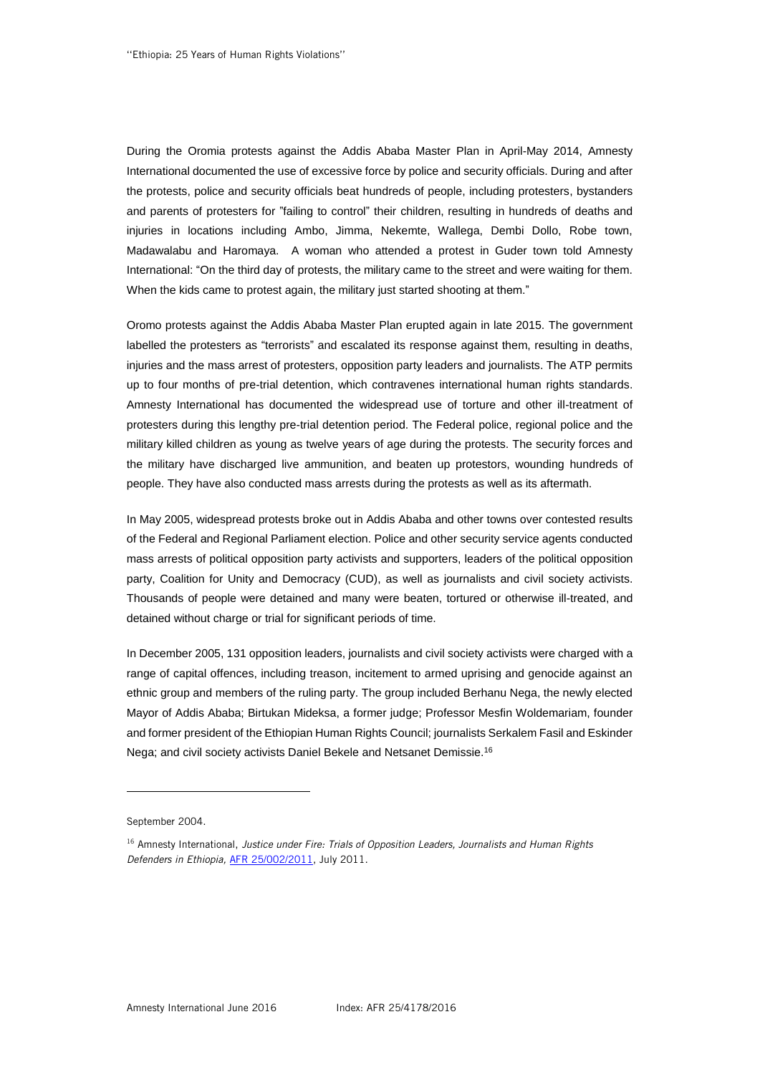During the Oromia protests against the Addis Ababa Master Plan in April-May 2014, Amnesty International documented the use of excessive force by police and security officials. During and after the protests, police and security officials beat hundreds of people, including protesters, bystanders and parents of protesters for "failing to control" their children, resulting in hundreds of deaths and injuries in locations including Ambo, Jimma, Nekemte, Wallega, Dembi Dollo, Robe town, Madawalabu and Haromaya. A woman who attended a protest in Guder town told Amnesty International: "On the third day of protests, the military came to the street and were waiting for them. When the kids came to protest again, the military just started shooting at them."

Oromo protests against the Addis Ababa Master Plan erupted again in late 2015. The government labelled the protesters as "terrorists" and escalated its response against them, resulting in deaths, injuries and the mass arrest of protesters, opposition party leaders and journalists. The ATP permits up to four months of pre-trial detention, which contravenes international human rights standards. Amnesty International has documented the widespread use of torture and other ill-treatment of protesters during this lengthy pre-trial detention period. The Federal police, regional police and the military killed children as young as twelve years of age during the protests. The security forces and the military have discharged live ammunition, and beaten up protestors, wounding hundreds of people. They have also conducted mass arrests during the protests as well as its aftermath.

In May 2005, widespread protests broke out in Addis Ababa and other towns over contested results of the Federal and Regional Parliament election. Police and other security service agents conducted mass arrests of political opposition party activists and supporters, leaders of the political opposition party, Coalition for Unity and Democracy (CUD), as well as journalists and civil society activists. Thousands of people were detained and many were beaten, tortured or otherwise ill-treated, and detained without charge or trial for significant periods of time.

In December 2005, 131 opposition leaders, journalists and civil society activists were charged with a range of capital offences, including treason, incitement to armed uprising and genocide against an ethnic group and members of the ruling party. The group included Berhanu Nega, the newly elected Mayor of Addis Ababa; Birtukan Mideksa, a former judge; Professor Mesfin Woldemariam, founder and former president of the Ethiopian Human Rights Council; journalists Serkalem Fasil and Eskinder Nega; and civil society activists Daniel Bekele and Netsanet Demissie.<sup>16</sup>

ł

September 2004.

<sup>16</sup> Amnesty International, *Justice under Fire: Trials of Opposition Leaders, Journalists and Human Rights Defenders in Ethiopia,* [AFR 25/002/2011,](https://www.amnesty.org/en/documents/afr25/002/2011/en/) July 2011.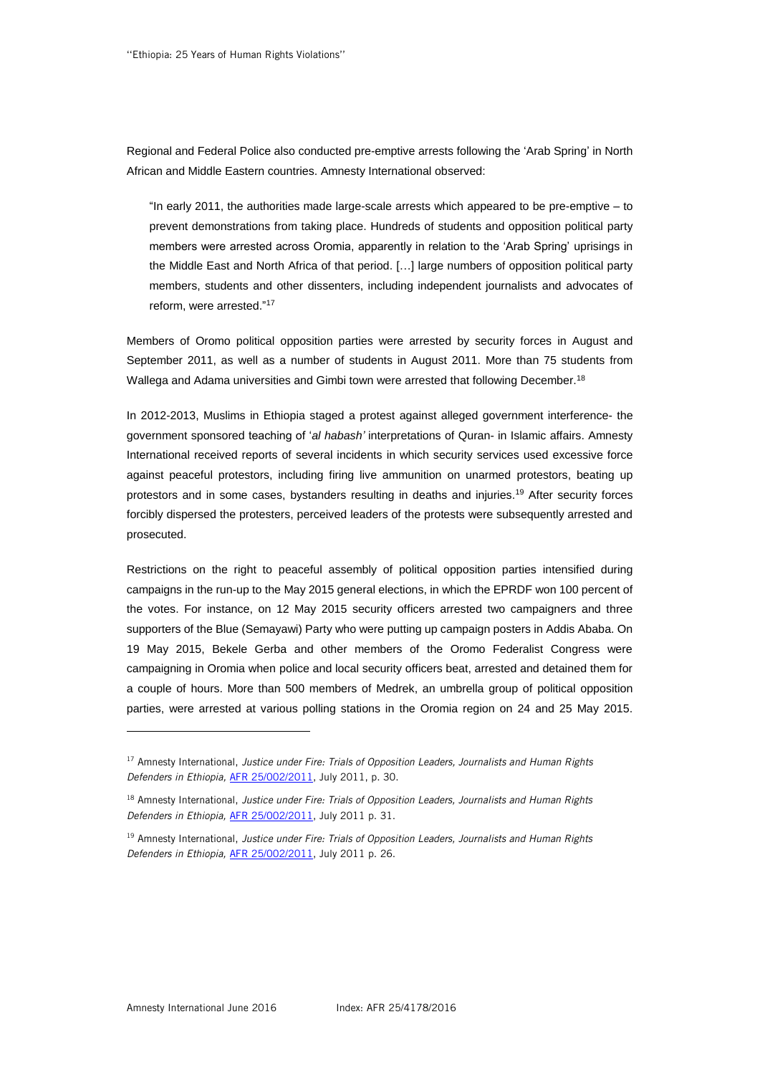Regional and Federal Police also conducted pre-emptive arrests following the 'Arab Spring' in North African and Middle Eastern countries. Amnesty International observed:

"In early 2011, the authorities made large-scale arrests which appeared to be pre-emptive – to prevent demonstrations from taking place. Hundreds of students and opposition political party members were arrested across Oromia, apparently in relation to the 'Arab Spring' uprisings in the Middle East and North Africa of that period. […] large numbers of opposition political party members, students and other dissenters, including independent journalists and advocates of reform, were arrested." 17

Members of Oromo political opposition parties were arrested by security forces in August and September 2011, as well as a number of students in August 2011. More than 75 students from Wallega and Adama universities and Gimbi town were arrested that following December.<sup>18</sup>

In 2012-2013, Muslims in Ethiopia staged a protest against alleged government interference- the government sponsored teaching of '*al habash'* interpretations of Quran- in Islamic affairs. Amnesty International received reports of several incidents in which security services used excessive force against peaceful protestors, including firing live ammunition on unarmed protestors, beating up protestors and in some cases, bystanders resulting in deaths and injuries. <sup>19</sup> After security forces forcibly dispersed the protesters, perceived leaders of the protests were subsequently arrested and prosecuted.

Restrictions on the right to peaceful assembly of political opposition parties intensified during campaigns in the run-up to the May 2015 general elections, in which the EPRDF won 100 percent of the votes. For instance, on 12 May 2015 security officers arrested two campaigners and three supporters of the Blue (Semayawi) Party who were putting up campaign posters in Addis Ababa. On 19 May 2015, Bekele Gerba and other members of the Oromo Federalist Congress were campaigning in Oromia when police and local security officers beat, arrested and detained them for a couple of hours. More than 500 members of Medrek, an umbrella group of political opposition parties, were arrested at various polling stations in the Oromia region on 24 and 25 May 2015.

j

<sup>17</sup> Amnesty International, *Justice under Fire: Trials of Opposition Leaders, Journalists and Human Rights Defenders in Ethiopia,* [AFR 25/002/2011,](https://www.amnesty.org/en/documents/afr25/002/2011/en/) July 2011, p. 30.

<sup>18</sup> Amnesty International, *Justice under Fire: Trials of Opposition Leaders, Journalists and Human Rights Defenders in Ethiopia,* [AFR 25/002/2011,](https://www.amnesty.org/en/documents/afr25/002/2011/en/) July 2011 p. 31.

<sup>19</sup> Amnesty International, *Justice under Fire: Trials of Opposition Leaders, Journalists and Human Rights Defenders in Ethiopia,* [AFR 25/002/2011,](https://www.amnesty.org/en/documents/afr25/002/2011/en/) July 2011 p. 26.